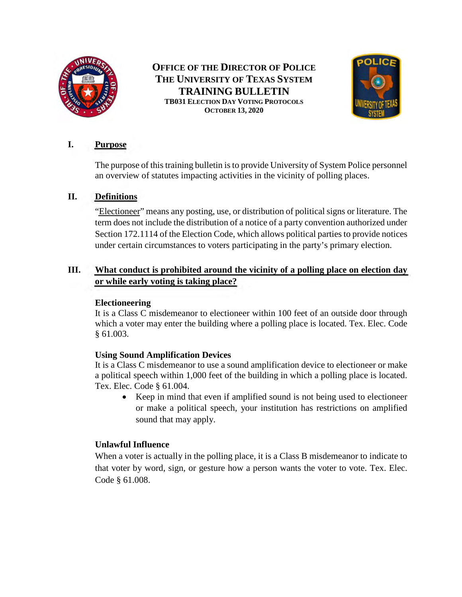

# **OFFICE OF THE DIRECTOR OF POLICE THE UNIVERSITY OF TEXAS SYSTEM TRAINING BULLETIN TB031 ELECTION DAY VOTING PROTOCOLS OCTOBER 13, 2020**



## **I. Purpose**

The purpose of this training bulletin is to provide University of System Police personnel an overview of statutes impacting activities in the vicinity of polling places.

### **II. Definitions**

"Electioneer" means any posting, use, or distribution of political signs or literature. The term does not include the distribution of a notice of a party convention authorized under Section 172.1114 of the Election Code, which allows political parties to provide notices under certain circumstances to voters participating in the party's primary election.

### **III. What conduct is prohibited around the vicinity of a polling place on election day or while early voting is taking place?**

### **Electioneering**

It is a Class C misdemeanor to electioneer within 100 feet of an outside door through which a voter may enter the building where a polling place is located. Tex. Elec. Code § 61.003.

### **Using Sound Amplification Devices**

It is a Class C misdemeanor to use a sound amplification device to electioneer or make a political speech within 1,000 feet of the building in which a polling place is located. Tex. Elec. Code § 61.004.

• Keep in mind that even if amplified sound is not being used to electioneer or make a political speech, your institution has restrictions on amplified sound that may apply.

### **Unlawful Influence**

When a voter is actually in the polling place, it is a Class B misdemeanor to indicate to that voter by word, sign, or gesture how a person wants the voter to vote. Tex. Elec. Code § 61.008.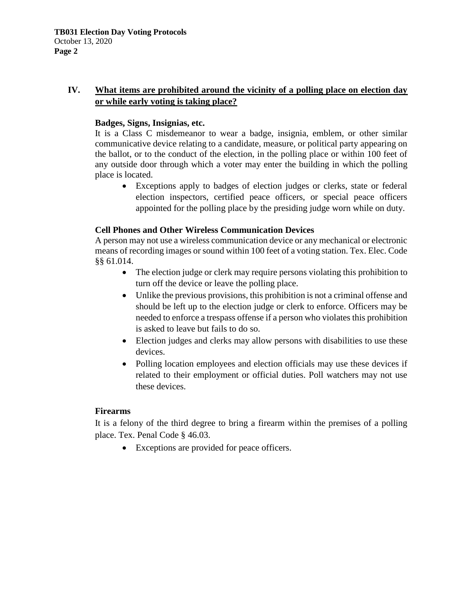### **IV. What items are prohibited around the vicinity of a polling place on election day or while early voting is taking place?**

#### **Badges, Signs, Insignias, etc.**

It is a Class C misdemeanor to wear a badge, insignia, emblem, or other similar communicative device relating to a candidate, measure, or political party appearing on the ballot, or to the conduct of the election, in the polling place or within 100 feet of any outside door through which a voter may enter the building in which the polling place is located.

• Exceptions apply to badges of election judges or clerks, state or federal election inspectors, certified peace officers, or special peace officers appointed for the polling place by the presiding judge worn while on duty.

### **Cell Phones and Other Wireless Communication Devices**

A person may not use a wireless communication device or any mechanical or electronic means of recording images or sound within 100 feet of a voting station. Tex. Elec. Code §§ 61.014.

- The election judge or clerk may require persons violating this prohibition to turn off the device or leave the polling place.
- Unlike the previous provisions, this prohibition is not a criminal offense and should be left up to the election judge or clerk to enforce. Officers may be needed to enforce a trespass offense if a person who violates this prohibition is asked to leave but fails to do so.
- Election judges and clerks may allow persons with disabilities to use these devices.
- Polling location employees and election officials may use these devices if related to their employment or official duties. Poll watchers may not use these devices.

### **Firearms**

It is a felony of the third degree to bring a firearm within the premises of a polling place. Tex. Penal Code § 46.03.

• Exceptions are provided for peace officers.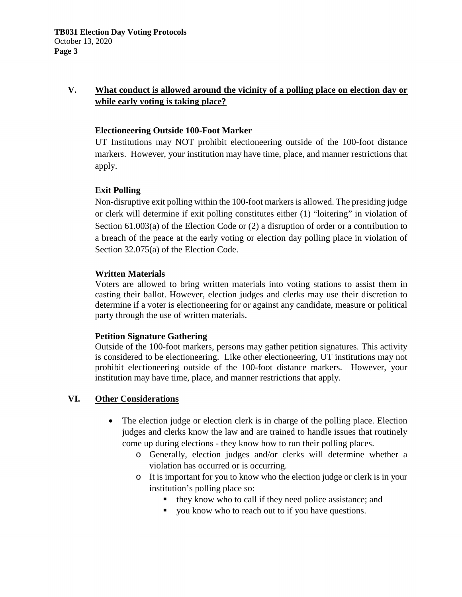### **V. What conduct is allowed around the vicinity of a polling place on election day or while early voting is taking place?**

#### **Electioneering Outside 100-Foot Marker**

UT Institutions may NOT prohibit electioneering outside of the 100-foot distance markers. However, your institution may have time, place, and manner restrictions that apply.

### **Exit Polling**

Non-disruptive exit polling within the 100-foot markers is allowed. The presiding judge or clerk will determine if exit polling constitutes either (1) "loitering" in violation of Section 61.003(a) of the Election Code or (2) a disruption of order or a contribution to a breach of the peace at the early voting or election day polling place in violation of Section 32.075(a) of the Election Code.

#### **Written Materials**

Voters are allowed to bring written materials into voting stations to assist them in casting their ballot. However, election judges and clerks may use their discretion to determine if a voter is electioneering for or against any candidate, measure or political party through the use of written materials.

### **Petition Signature Gathering**

Outside of the 100-foot markers, persons may gather petition signatures. This activity is considered to be electioneering. Like other electioneering, UT institutions may not prohibit electioneering outside of the 100-foot distance markers. However, your institution may have time, place, and manner restrictions that apply.

### **VI. Other Considerations**

- The election judge or election clerk is in charge of the polling place. Election judges and clerks know the law and are trained to handle issues that routinely come up during elections - they know how to run their polling places.
	- o Generally, election judges and/or clerks will determine whether a violation has occurred or is occurring.
	- o It is important for you to know who the election judge or clerk is in your institution's polling place so:
		- they know who to call if they need police assistance; and
		- vou know who to reach out to if you have questions.